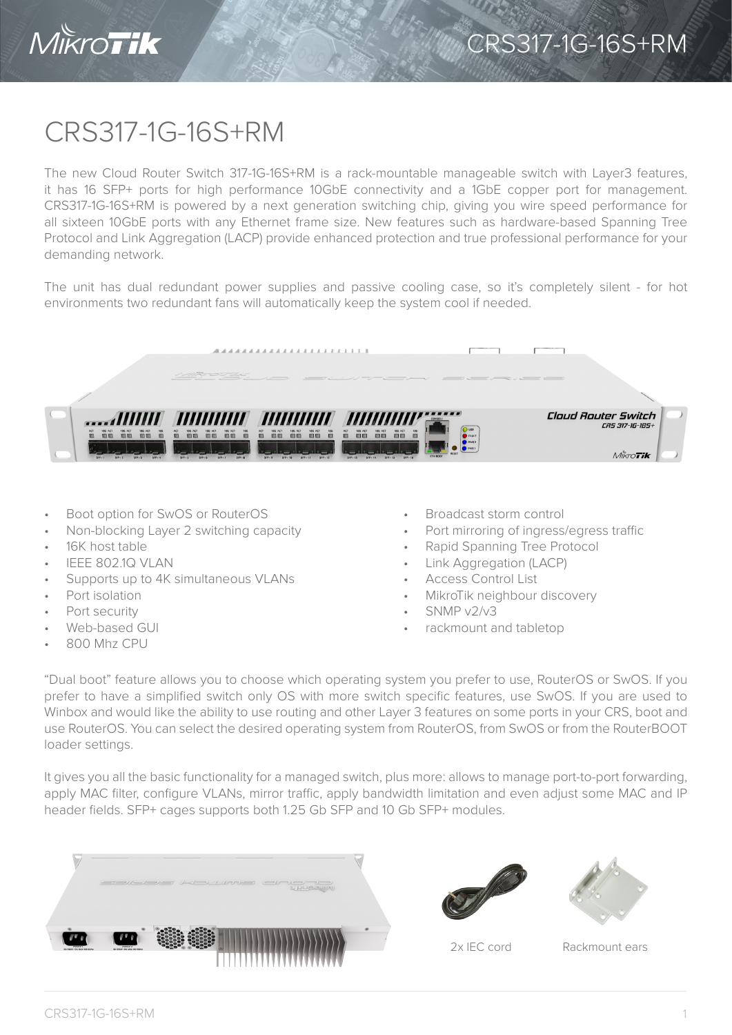

## CRS317-1G-16S+RM

The new Cloud Router Switch 317-1G-16S+RM is a rack-mountable manageable switch with Layer3 features, it has 16 SFP+ ports for high performance 10GbE connectivity and a 1GbE copper port for management. CRS317-1G-16S+RM is powered by a next generation switching chip, giving you wire speed performance for all sixteen 10GbE ports with any Ethernet frame size. New features such as hardware-based Spanning Tree Protocol and Link Aggregation (LACP) provide enhanced protection and true professional performance for your demanding network.

The unit has dual redundant power supplies and passive cooling case, so it's completely silent - for hot environments two redundant fans will automatically keep the system cool if needed.



- Boot option for SwOS or RouterOS
- Non-blocking Layer 2 switching capacity
- 16K host table
- IEEE 802.1Q VLAN
- Supports up to 4K simultaneous VLANs
- Port isolation
- Port security
- Web-based GUI
- 800 Mhz CPU
- Broadcast storm control
- Port mirroring of ingress/egress traffic
- Rapid Spanning Tree Protocol
- Link Aggregation (LACP)
- Access Control List
- MikroTik neighbour discovery
- SNMP v2/v3
- rackmount and tabletop

"Dual boot" feature allows you to choose which operating system you prefer to use, RouterOS or SwOS. If you prefer to have a simplified switch only OS with more switch specific features, use SwOS. If you are used to Winbox and would like the ability to use routing and other Layer 3 features on some ports in your CRS, boot and use RouterOS. You can select the desired operating system from RouterOS, from SwOS or from the RouterBOOT loader settings.

It gives you all the basic functionality for a managed switch, plus more: allows to manage port-to-port forwarding, apply MAC filter, configure VLANs, mirror traffic, apply bandwidth limitation and even adjust some MAC and IP header fields. SFP+ cages supports both 1.25 Gb SFP and 10 Gb SFP+ modules.







2x IEC cord Rackmount ears